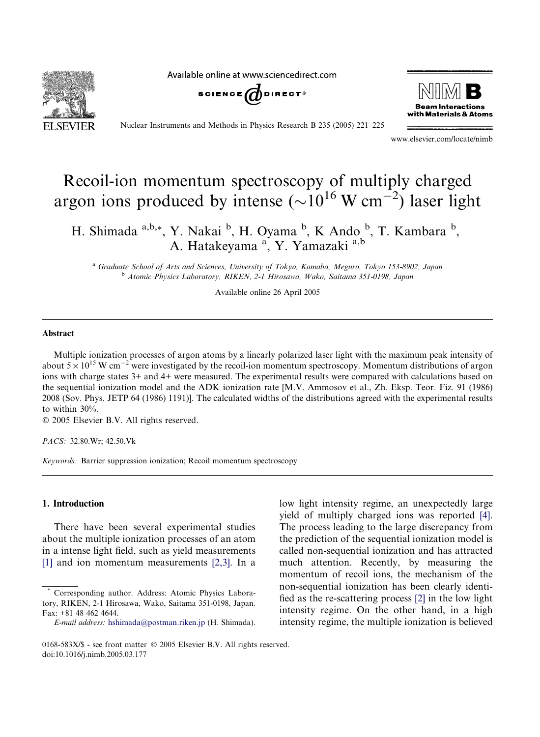Available online at www.sciencedirect.com







Nuclear Instruments and Methods in Physics Research B 235 (2005) 221–225

www.elsevier.com/locate/nimb

# Recoil-ion momentum spectroscopy of multiply charged argon ions produced by intense  $(\sim]10^{16} \text{ W cm}^{-2})$  laser light

H. Shimada a,b,\*, Y. Nakai b, H. Oyama b, K Ando b, T. Kambara b, A. Hatakeyama <sup>a</sup>, Y. Yamazaki a,b

<sup>a</sup> Graduate School of Arts and Sciences, University of Tokyo, Komaba, Meguro, Tokyo 153-8902, Japan <sup>b</sup> Atomic Physics Laboratory, RIKEN, 2-1 Hirosawa, Wako, Saitama 351-0198, Japan

Available online 26 April 2005

### Abstract

Multiple ionization processes of argon atoms by a linearly polarized laser light with the maximum peak intensity of about  $5 \times 10^{15}$  W cm<sup>-2</sup> were investigated by the recoil-ion momentum spectroscopy. Momentum distributions of argon ions with charge states 3+ and 4+ were measured. The experimental results were compared with calculations based on the sequential ionization model and the ADK ionization rate [M.V. Ammosov et al., Zh. Eksp. Teor. Fiz. 91 (1986) 2008 (Sov. Phys. JETP 64 (1986) 1191)]. The calculated widths of the distributions agreed with the experimental results to within 30%.

2005 Elsevier B.V. All rights reserved.

PACS: 32.80.Wr; 42.50.Vk

Keywords: Barrier suppression ionization; Recoil momentum spectroscopy

# 1. Introduction

There have been several experimental studies about the multiple ionization processes of an atom in a intense light field, such as yield measurements [\[1\]](#page-4-0) and ion momentum measurements [\[2,3\].](#page-4-0) In a

low light intensity regime, an unexpectedly large yield of multiply charged ions was reported [\[4\]](#page-4-0). The process leading to the large discrepancy from the prediction of the sequential ionization model is called non-sequential ionization and has attracted much attention. Recently, by measuring the momentum of recoil ions, the mechanism of the non-sequential ionization has been clearly identified as the re-scattering process [\[2\]](#page-4-0) in the low light intensity regime. On the other hand, in a high intensity regime, the multiple ionization is believed

Corresponding author. Address: Atomic Physics Laboratory, RIKEN, 2-1 Hirosawa, Wako, Saitama 351-0198, Japan. Fax: +81 48 462 4644.

E-mail address: [hshimada@postman.riken.jp](mailto:hshimada@postman.riken.jp) (H. Shimada).

<sup>0168-583</sup>X/\$ - see front matter © 2005 Elsevier B.V. All rights reserved. doi:10.1016/j.nimb.2005.03.177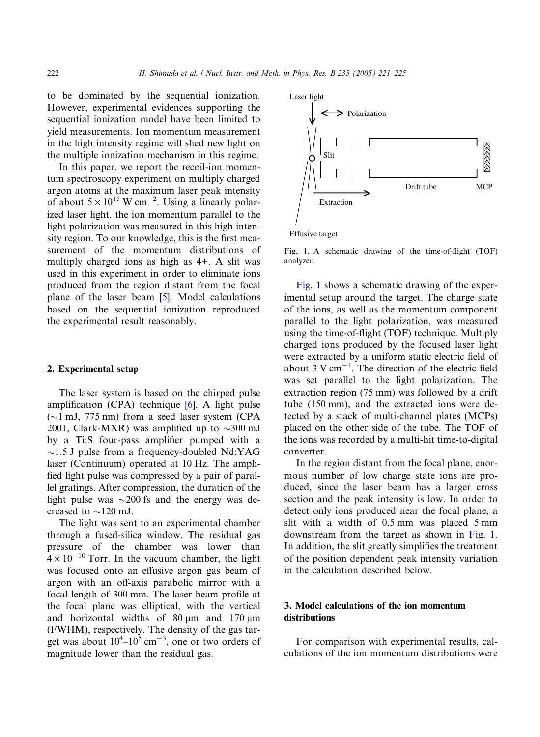to be dominated by the sequential ionization. However, experimental evidences supporting the sequential ionization model have been limited to yield measurements. Ion momentum measurement in the high intensity regime will shed new light on the multiple ionization mechanism in this regime.

In this paper, we report the recoil-ion momentum spectroscopy experiment on multiply charged argon atoms at the maximum laser peak intensity of about  $5 \times 10^{15}$  W cm<sup>-2</sup>. Using a linearly polarized laser light, the ion momentum parallel to the light polarization was measured in this high intensity region. To our knowledge, this is the first measurement of the momentum distributions of multiply charged ions as high as 4+. A slit was used in this experiment in order to eliminate ions produced from the region distant from the focal plane of the laser beam [\[5\]](#page-4-0). Model calculations based on the sequential ionization reproduced the experimental result reasonably.

# 2. Experimental setup

The laser system is based on the chirped pulse amplification (CPA) technique [\[6\].](#page-4-0) A light pulse  $(\sim)1$  mJ, 775 nm) from a seed laser system (CPA 2001, Clark-MXR) was amplified up to  $\sim$ 300 mJ by a Ti:S four-pass amplifier pumped with a  $\sim$ 1.5 J pulse from a frequency-doubled Nd:YAG laser (Continuum) operated at 10 Hz. The amplified light pulse was compressed by a pair of parallel gratings. After compression, the duration of the light pulse was  $\sim$ 200 fs and the energy was decreased to  $\sim$ 120 mJ.

The light was sent to an experimental chamber through a fused-silica window. The residual gas pressure of the chamber was lower than  $4 \times 10^{-10}$  Torr. In the vacuum chamber, the light was focused onto an effusive argon gas beam of argon with an off-axis parabolic mirror with a focal length of 300 mm. The laser beam profile at the focal plane was elliptical, with the vertical and horizontal widths of  $80 \mu m$  and  $170 \mu m$ (FWHM), respectively. The density of the gas target was about  $10^4 - 10^5$  cm<sup>-3</sup>, one or two orders of magnitude lower than the residual gas.



Fig. 1. A schematic drawing of the time-of-flight (TOF) analyzer.

Fig. 1 shows a schematic drawing of the experimental setup around the target. The charge state of the ions, as well as the momentum component parallel to the light polarization, was measured using the time-of-flight (TOF) technique. Multiply charged ions produced by the focused laser light were extracted by a uniform static electric field of about  $3 \text{ V cm}^{-1}$ . The direction of the electric field was set parallel to the light polarization. The extraction region (75 mm) was followed by a drift tube (150 mm), and the extracted ions were detected by a stack of multi-channel plates (MCPs) placed on the other side of the tube. The TOF of the ions was recorded by a multi-hit time-to-digital converter.

In the region distant from the focal plane, enormous number of low charge state ions are produced, since the laser beam has a larger cross section and the peak intensity is low. In order to detect only ions produced near the focal plane, a slit with a width of 0.5 mm was placed 5 mm downstream from the target as shown in Fig. 1. In addition, the slit greatly simplifies the treatment of the position dependent peak intensity variation in the calculation described below.

# 3. Model calculations of the ion momentum distributions

For comparison with experimental results, calculations of the ion momentum distributions were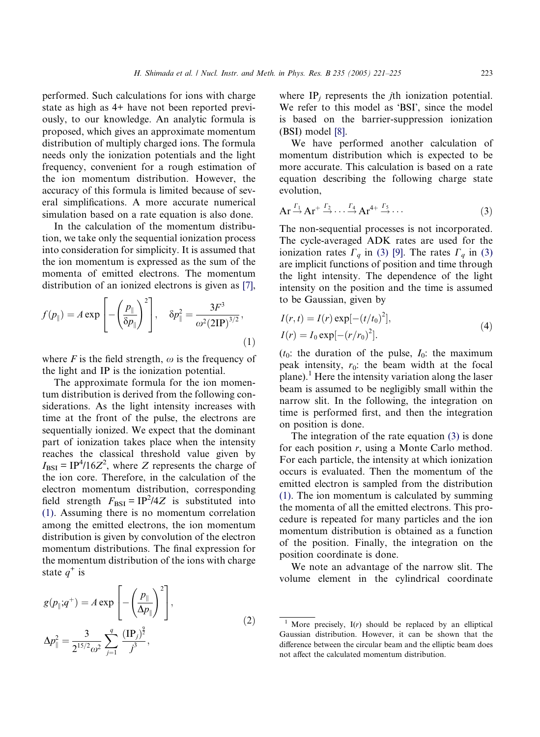performed. Such calculations for ions with charge state as high as 4+ have not been reported previously, to our knowledge. An analytic formula is proposed, which gives an approximate momentum distribution of multiply charged ions. The formula needs only the ionization potentials and the light frequency, convenient for a rough estimation of the ion momentum distribution. However, the accuracy of this formula is limited because of several simplifications. A more accurate numerical simulation based on a rate equation is also done.

In the calculation of the momentum distribution, we take only the sequential ionization process into consideration for simplicity. It is assumed that the ion momentum is expressed as the sum of the momenta of emitted electrons. The momentum distribution of an ionized electrons is given as [\[7\]](#page-4-0),

$$
f(p_{\parallel}) = A \exp\left[-\left(\frac{p_{\parallel}}{\delta p_{\parallel}}\right)^2\right], \quad \delta p_{\parallel}^2 = \frac{3F^3}{\omega^2 (2IP)^{3/2}},\tag{1}
$$

where F is the field strength,  $\omega$  is the frequency of the light and IP is the ionization potential.

The approximate formula for the ion momentum distribution is derived from the following considerations. As the light intensity increases with time at the front of the pulse, the electrons are sequentially ionized. We expect that the dominant part of ionization takes place when the intensity reaches the classical threshold value given by  $I_{\text{BSI}} = IP^4/16Z^2$ , where Z represents the charge of the ion core. Therefore, in the calculation of the electron momentum distribution, corresponding field strength  $F_{\text{BSI}} = IP^2/4Z$  is substituted into (1). Assuming there is no momentum correlation among the emitted electrons, the ion momentum distribution is given by convolution of the electron momentum distributions. The final expression for the momentum distribution of the ions with charge state  $q^+$  is

$$
g(p_{\parallel};q^{+}) = A \exp\left[-\left(\frac{p_{\parallel}}{\Delta p_{\parallel}}\right)^{2}\right],
$$
  

$$
\Delta p_{\parallel}^{2} = \frac{3}{2^{15/2}\omega^{2}} \sum_{j=1}^{q} \frac{(\text{IP}_{j})^{2}}{j^{3}},
$$
 (2)

where  $IP_i$  represents the *j*th ionization potential. We refer to this model as 'BSI', since the model is based on the barrier-suppression ionization (BSI) model [\[8\].](#page-4-0)

We have performed another calculation of momentum distribution which is expected to be more accurate. This calculation is based on a rate equation describing the following charge state evolution,

$$
Ar \xrightarrow{r_1} Ar^+ \xrightarrow{r_2} \cdots \xrightarrow{r_4} Ar^{4+} \xrightarrow{r_5} \cdots
$$
 (3)

The non-sequential processes is not incorporated. The cycle-averaged ADK rates are used for the ionization rates  $\Gamma_q$  in (3) [\[9\]](#page-4-0). The rates  $\Gamma_q$  in (3) are implicit functions of position and time through the light intensity. The dependence of the light intensity on the position and the time is assumed to be Gaussian, given by

$$
I(r,t) = I(r) \exp[-(t/t_0)^2],
$$
  
\n
$$
I(r) = I_0 \exp[-(r/r_0)^2].
$$
\n(4)

 $(t_0:$  the duration of the pulse,  $I_0:$  the maximum peak intensity,  $r_0$ : the beam width at the focal plane).<sup>1</sup> Here the intensity variation along the laser beam is assumed to be negligibly small within the narrow slit. In the following, the integration on time is performed first, and then the integration on position is done.

The integration of the rate equation (3) is done for each position r, using a Monte Carlo method. For each particle, the intensity at which ionization occurs is evaluated. Then the momentum of the emitted electron is sampled from the distribution (1). The ion momentum is calculated by summing the momenta of all the emitted electrons. This procedure is repeated for many particles and the ion momentum distribution is obtained as a function of the position. Finally, the integration on the position coordinate is done.

We note an advantage of the narrow slit. The volume element in the cylindrical coordinate

More precisely,  $I(r)$  should be replaced by an elliptical Gaussian distribution. However, it can be shown that the difference between the circular beam and the elliptic beam does not affect the calculated momentum distribution.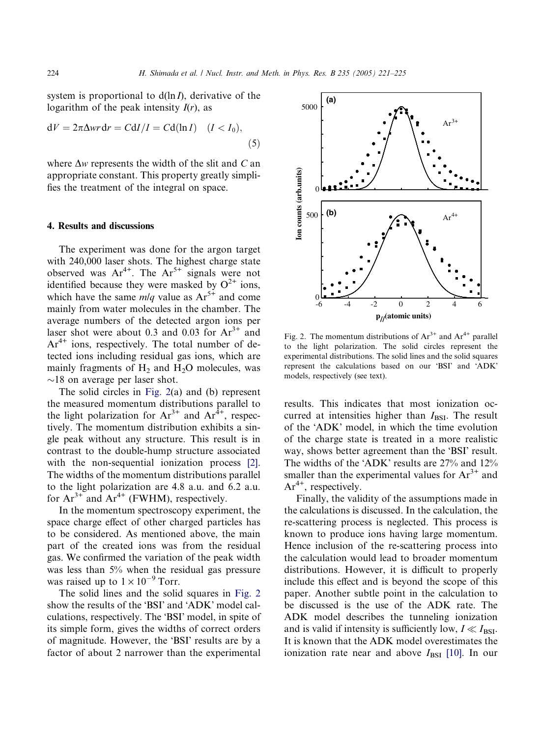system is proportional to  $d(\ln I)$ , derivative of the logarithm of the peak intensity  $I(r)$ , as

$$
dV = 2\pi \Delta wr dr = C dI/I = C d(ln I) \quad (I < I_0),\tag{5}
$$

where  $\Delta w$  represents the width of the slit and C and appropriate constant. This property greatly simplifies the treatment of the integral on space.

## 4. Results and discussions

The experiment was done for the argon target with 240,000 laser shots. The highest charge state observed was  $Ar^{4+}$ . The  $Ar^{5+}$  signals were not identified because they were masked by  $O^{2+}$  ions, which have the same  $m/q$  value as  $Ar^{5+}$  and come mainly from water molecules in the chamber. The average numbers of the detected argon ions per laser shot were about 0.3 and 0.03 for  $Ar^{3+}$  and  $Ar^{4+}$  ions, respectively. The total number of detected ions including residual gas ions, which are mainly fragments of  $H_2$  and  $H_2O$  molecules, was  $\sim$ 18 on average per laser shot.

The solid circles in Fig. 2(a) and (b) represent the measured momentum distributions parallel to the light polarization for  $Ar^{3+}$  and  $Ar^{4+}$ , respectively. The momentum distribution exhibits a single peak without any structure. This result is in contrast to the double-hump structure associated with the non-sequential ionization process [\[2\].](#page-4-0) The widths of the momentum distributions parallel to the light polarization are 4.8 a.u. and 6.2 a.u. for  $Ar^{3+}$  and  $Ar^{4+}$  (FWHM), respectively.

In the momentum spectroscopy experiment, the space charge effect of other charged particles has to be considered. As mentioned above, the main part of the created ions was from the residual gas. We confirmed the variation of the peak width was less than 5% when the residual gas pressure was raised up to  $1 \times 10^{-9}$  Torr.

The solid lines and the solid squares in Fig. 2 show the results of the 'BSI' and 'ADK' model calculations, respectively. The 'BSI' model, in spite of its simple form, gives the widths of correct orders of magnitude. However, the 'BSI' results are by a factor of about 2 narrower than the experimental



Fig. 2. The momentum distributions of  $Ar^{3+}$  and  $Ar^{4+}$  parallel to the light polarization. The solid circles represent the experimental distributions. The solid lines and the solid squares represent the calculations based on our 'BSI' and 'ADK' models, respectively (see text).

results. This indicates that most ionization occurred at intensities higher than  $I_{\text{BSI}}$ . The result of the 'ADK' model, in which the time evolution of the charge state is treated in a more realistic way, shows better agreement than the 'BSI' result. The widths of the 'ADK' results are  $27\%$  and  $12\%$ smaller than the experimental values for  $Ar^{3+}$  and  $Ar^{4+}$ , respectively.

Finally, the validity of the assumptions made in the calculations is discussed. In the calculation, the re-scattering process is neglected. This process is known to produce ions having large momentum. Hence inclusion of the re-scattering process into the calculation would lead to broader momentum distributions. However, it is difficult to properly include this effect and is beyond the scope of this paper. Another subtle point in the calculation to be discussed is the use of the ADK rate. The ADK model describes the tunneling ionization and is valid if intensity is sufficiently low,  $I \ll I_{\text{BSI}}$ . It is known that the ADK model overestimates the ionization rate near and above  $I_{\text{BSI}}$  [\[10\]](#page-4-0). In our